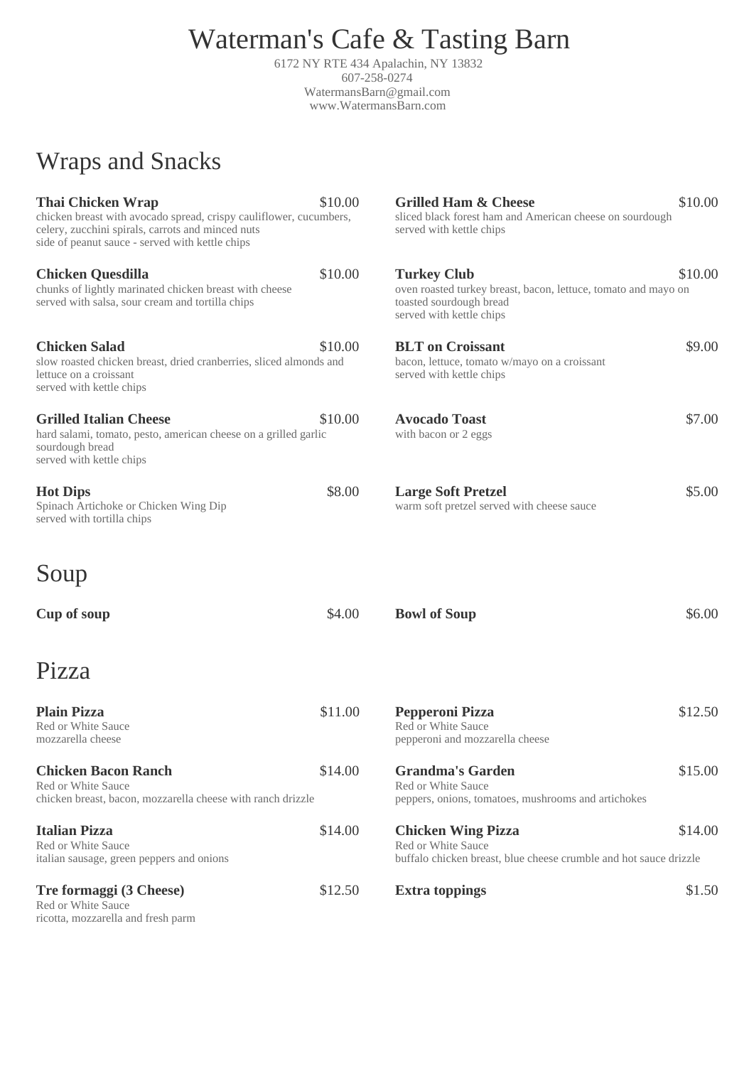# Waterman's Cafe & Tasting Barn

6172 NY RTE 434 Apalachin, NY 13832 607-258-0274 WatermansBarn@gmail.com www.WatermansBarn.com

## Wraps and Snacks

| <b>Thai Chicken Wrap</b><br>chicken breast with avocado spread, crispy cauliflower, cucumbers,<br>celery, zucchini spirals, carrots and minced nuts<br>side of peanut sauce - served with kettle chips | \$10.00 | <b>Grilled Ham &amp; Cheese</b><br>sliced black forest ham and American cheese on sourdough<br>served with kettle chips                     | \$10.00  |
|--------------------------------------------------------------------------------------------------------------------------------------------------------------------------------------------------------|---------|---------------------------------------------------------------------------------------------------------------------------------------------|----------|
| <b>Chicken Quesdilla</b><br>chunks of lightly marinated chicken breast with cheese<br>served with salsa, sour cream and tortilla chips                                                                 | \$10.00 | <b>Turkey Club</b><br>oven roasted turkey breast, bacon, lettuce, tomato and mayo on<br>toasted sourdough bread<br>served with kettle chips | \$10.00  |
| <b>Chicken Salad</b><br>slow roasted chicken breast, dried cranberries, sliced almonds and<br>lettuce on a croissant<br>served with kettle chips                                                       | \$10.00 | <b>BLT</b> on Croissant<br>bacon, lettuce, tomato w/mayo on a croissant<br>served with kettle chips                                         | \$9.00   |
| <b>Grilled Italian Cheese</b><br>hard salami, tomato, pesto, american cheese on a grilled garlic<br>sourdough bread<br>served with kettle chips                                                        | \$10.00 | <b>Avocado Toast</b><br>with bacon or 2 eggs                                                                                                | \$7.00   |
| <b>Hot Dips</b><br>Spinach Artichoke or Chicken Wing Dip<br>served with tortilla chips                                                                                                                 | \$8.00  | <b>Large Soft Pretzel</b><br>warm soft pretzel served with cheese sauce                                                                     | \$5.00   |
| Soup                                                                                                                                                                                                   |         |                                                                                                                                             |          |
| <b>Cup of soup</b>                                                                                                                                                                                     | \$4.00  | <b>Bowl of Soup</b>                                                                                                                         | \$6.00\$ |
| Pizza                                                                                                                                                                                                  |         |                                                                                                                                             |          |
| <b>Plain Pizza</b><br><b>Red or White Sauce</b><br>mozzarella cheese                                                                                                                                   | \$11.00 | <b>Pepperoni Pizza</b><br><b>Red or White Sauce</b><br>pepperoni and mozzarella cheese                                                      | \$12.50  |
| <b>Chicken Bacon Ranch</b><br><b>Red or White Sauce</b><br>chicken breast, bacon, mozzarella cheese with ranch drizzle                                                                                 | \$14.00 | <b>Grandma's Garden</b><br><b>Red or White Sauce</b><br>peppers, onions, tomatoes, mushrooms and artichokes                                 | \$15.00  |

Red or White Sauce Red or White Sauce

**Tre formaggi (3 Cheese)** \$12.50 **Extra toppings** \$1.50 \$1.50 Red or White Sauce ricotta, mozzarella and fresh parm

### **Italian Pizza** \$14.00 **Chicken Wing Pizza** \$14.00

italian sausage, green peppers and onions buffalo chicken breast, blue cheese crumble and hot sauce drizzle